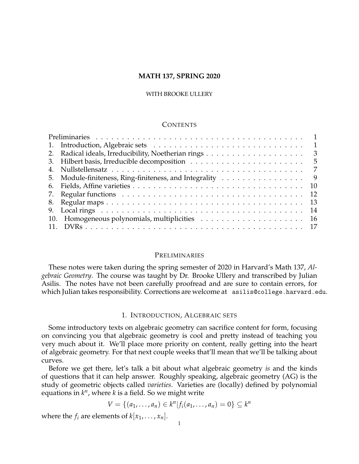### **MATH 137, SPRING 2020**

### WITH BROOKE ULLERY

### **CONTENTS**

|     |                                                        | $\overline{1}$ |  |
|-----|--------------------------------------------------------|----------------|--|
|     |                                                        | - 3            |  |
|     |                                                        | $-5$           |  |
|     |                                                        | 7              |  |
|     | 5. Module-finiteness, Ring-finiteness, and Integrality | - 9            |  |
| 6.  |                                                        | -10            |  |
|     |                                                        | -12            |  |
|     |                                                        | -13            |  |
| 9.  |                                                        | 14             |  |
| 10. |                                                        |                |  |
|     |                                                        |                |  |
|     |                                                        |                |  |

#### <span id="page-0-0"></span>PRELIMINARIES

These notes were taken during the spring semester of 2020 in Harvard's Math 137, *Algebraic Geometry*. The course was taught by Dr. Brooke Ullery and transcribed by Julian Asilis. The notes have not been carefully proofread and are sure to contain errors, for which Julian takes responsibility. Corrections are welcome at asilis@college.harvard.edu.

## 1. INTRODUCTION, ALGEBRAIC SETS

<span id="page-0-1"></span>Some introductory texts on algebraic geometry can sacrifice content for form, focusing on convincing you that algebraic geometry is cool and pretty instead of teaching you very much about it. We'll place more priority on content, really getting into the heart of algebraic geometry. For that next couple weeks that'll mean that we'll be talking about curves.

Before we get there, let's talk a bit about what algebraic geometry *is* and the kinds of questions that it can help answer. Roughly speaking, algebraic geometry (AG) is the study of geometric objects called *varieties*. Varieties are (locally) defined by polynomial equations in *k n* , where *k* is a field. So we might write

$$
V = \{(a_1,\ldots,a_n) \in k^n | f_i(a_1,\ldots,a_n) = 0\} \subseteq k^n
$$

where the  $f_i$  are elements of  $k[x_1, \ldots, x_n]$ .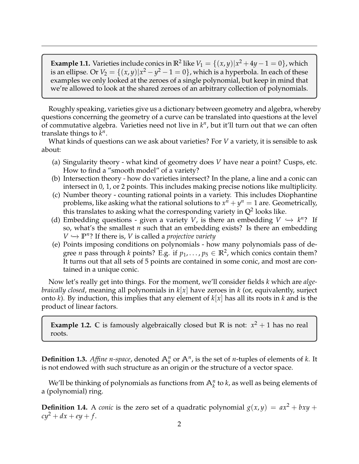**Example 1.1.** Varieties include conics in  $\mathbb{R}^2$  like  $V_1 = \{(x, y) | x^2 + 4y - 1 = 0\}$ , which is an ellipse. Or  $V_2 = \{(x,y) | x^2-y^2-1=0\}$ , which is a hyperbola. In each of these examples we only looked at the zeroes of a single polynomial, but keep in mind that we're allowed to look at the shared zeroes of an arbitrary collection of polynomials.

Roughly speaking, varieties give us a dictionary between geometry and algebra, whereby questions concerning the geometry of a curve can be translated into questions at the level of commutative algebra. Varieties need not live in  $k<sup>n</sup>$ , but it'll turn out that we can often translate things to  $\bar{k}^n$ .

What kinds of questions can we ask about varieties? For *V* a variety, it is sensible to ask about:

- (a) Singularity theory what kind of geometry does *V* have near a point? Cusps, etc. How to find a "smooth model" of a variety?
- (b) Intersection theory how do varieties intersect? In the plane, a line and a conic can intersect in 0, 1, or 2 points. This includes making precise notions like multiplicity.
- (c) Number theory counting rational points in a variety. This includes Diophantine problems, like asking what the rational solutions to  $x^n + y^n = 1$  are. Geometrically, this translates to asking what the corresponding variety in **Q**<sup>2</sup> looks like.
- (d) Embedding questions given a variety *V*, is there an embedding  $V \hookrightarrow k^n$ ? If so, what's the smallest *n* such that an embedding exists? Is there an embedding *V*  $\hookrightarrow$  **P**<sup>*n*</sup>? If there is, *V* is called a *projective variety*
- (e) Points imposing conditions on polynomials how many polynomials pass of degree *n* pass through *k* points? E.g. if  $p_1, \ldots, p_5 \in \mathbb{R}^2$ , which conics contain them? It turns out that all sets of 5 points are contained in some conic, and most are contained in a unique conic.

Now let's really get into things. For the moment, we'll consider fields *k* which are *algebraically closed*, meaning all polynomials in *k*[*x*] have zeroes in *k* (or, equivalently, surject onto *k*). By induction, this implies that any element of *k*[*x*] has all its roots in *k* and is the product of linear factors.

**Example 1.2.** C is famously algebraically closed but **R** is not:  $x^2 + 1$  has no real roots.

**Definition 1.3.** *Affine n-space*, denoted  $\mathbb{A}^n_k$  or  $\mathbb{A}^n$ , is the set of *n*-tuples of elements of *k*. It is not endowed with such structure as an origin or the structure of a vector space.

We'll be thinking of polynomials as functions from  $\mathbb{A}^n_k$  to *k*, as well as being elements of a (polynomial) ring.

**Definition 1.4.** A *conic* is the zero set of a quadratic polynomial  $g(x, y) = ax^2 + bxy + c$  $cy^{2} + dx + ey + f$ .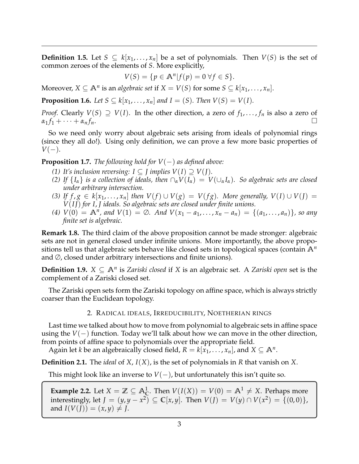**Definition 1.5.** Let *S* ⊆ *k*[ $x_1, ..., x_n$ ] be a set of polynomials. Then *V*(*S*) is the set of common zeroes of the elements of *S*. More explicitly,

$$
V(S) = \{ p \in \mathbb{A}^n | f(p) = 0 \,\forall f \in S \}.
$$

Moreover,  $X \subseteq \mathbb{A}^n$  is an *algebraic set* if  $X = V(S)$  for some  $S \subseteq k[x_1, \ldots, x_n]$ .

**Proposition 1.6.** Let  $S \subseteq k[x_1, \ldots, x_n]$  and  $I = (S)$ . Then  $V(S) = V(I)$ .

*Proof.* Clearly  $V(S) \supseteq V(I)$ . In the other direction, a zero of  $f_1, \ldots, f_n$  is also a zero of  $\alpha_1 f_1 + \cdots + \alpha_n f_n.$ 

So we need only worry about algebraic sets arising from ideals of polynomial rings (since they all do!). Using only definition, we can prove a few more basic properties of  $V(-)$ .

**Proposition 1.7.** *The following hold for*  $V(-)$  *as defined above:* 

- *(1) It's inclusion reversing: I* ⊆ *J implies*  $V(I) \supseteq V(J)$ *.*
- *(2)* If  $\{I_\alpha\}$  *is a collection of ideals, then*  $\bigcap_\alpha V(I_\alpha) = V(\bigcup_\alpha I_\alpha)$ *. So algebraic sets are closed under arbitrary intersection.*
- *(3)* If  $f, g \in k[x_1, \ldots, x_n]$  then  $V(f) \cup V(g) = V(fg)$ . More generally,  $V(I) \cup V(J) =$ *V*(*I J*) *for I*, *J ideals. So algebraic sets are closed under finite unions.*
- *(4)*  $V(0) = \mathbb{A}^n$ , and  $V(1) = \emptyset$ . And  $V(x_1 − a_1, ..., x_n − a_n) = \{(a_1, ..., a_n)\}$ , so any *finite set is algebraic.*

**Remark 1.8.** The third claim of the above proposition cannot be made stronger: algebraic sets are not in general closed under infinite unions. More importantly, the above propositions tell us that algebraic sets behave like closed sets in topological spaces (contain **A***<sup>n</sup>* and ∅, closed under arbitrary intersections and finite unions).

**Definition 1.9.** *X* ⊆  $\mathbb{A}^n$  is *Zariski closed* if *X* is an algebraic set. A *Zariski open* set is the complement of a Zariski closed set.

The Zariski open sets form the Zariski topology on affine space, which is always strictly coarser than the Euclidean topology.

2. RADICAL IDEALS, IRREDUCIBILITY, NOETHERIAN RINGS

<span id="page-2-0"></span>Last time we talked about how to move from polynomial to algebraic sets in affine space using the *V*(−) function. Today we'll talk about how we can move in the other direction, from points of affine space to polynomials over the appropriate field.

Again let *k* be an algebraically closed field,  $R = k[x_1, \ldots, x_n]$ , and  $X \subseteq \mathbb{A}^n$ .

**Definition 2.1.** The *ideal* of *X*, *I*(*X*), is the set of polynomials in *R* that vanish on *X*.

This might look like an inverse to  $V(-)$ , but unfortunately this isn't quite so.

**Example 2.2.** Let  $X = \mathbb{Z} \subseteq \mathbb{A}_{\mathbb{C}}^1$ . Then  $V(I(X)) = V(0) = \mathbb{A}^1 \neq X$ . Perhaps more interestingly, let *J* = (*y*, *y* − *x*<sup>2</sup>) ⊆ **C**[*x*, *y*]. Then *V*(*J*) = *V*(*y*) ∩ *V*(*x*<sup>2</sup>) = {(0, 0)}, and  $I(V(I)) = (x, y) \neq I$ .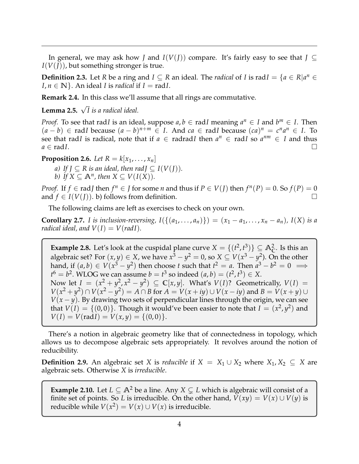In general, we may ask how *J* and *I*(*V*(*J*)) compare. It's fairly easy to see that *J* ⊆ *I*(*V*(*J*)), but something stronger is true.

**Definition 2.3.** Let *R* be a ring and *I* ⊆ *R* an ideal. The *radical* of *I* is rad*I* = { $a \in R | a^n \in$  $I, n \in \mathbb{N}$ . An ideal *I* is *radical* if  $I = \text{rad}I$ .

**Remark 2.4.** In this class we'll assume that all rings are commutative.

**Lemma 2.5.** <sup>√</sup> *I is a radical ideal.*

*Proof.* To see that rad*I* is an ideal, suppose  $a, b \in \text{rad}$ *I* meaning  $a^n \in I$  and  $b^m \in I$ . Then  $(a - b)$  ∈ rad*I* because  $(a - b)^{n+m}$  ∈ *I*. And *ca* ∈ rad*I* because  $(ca)^n = c^n a^n$  ∈ *I*. To see that rad*I* is radical, note that if  $a \in \text{radrad}$  then  $a^n \in \text{rad}$  so  $a^{nm} \in I$  and thus  $a \in \text{rad}$ *I*.

**Proposition 2.6.** Let  $R = k[x_1, \ldots, x_n]$ 

*a)* If  $J \subseteq R$  *is an ideal, then rad*  $J \subseteq I(V(J))$ *.* 

*b*) *If*  $X \subseteq \mathbb{A}^n$ , then  $X \subseteq V(I(X))$ .

*Proof.* If  $f \in \text{rad}$ *J* then  $f^n \in J$  for some *n* and thus if  $P \in V(J)$  then  $f^n(P) = 0$ . So  $f(P) = 0$ and  $f \in I(V(I))$ . b) follows from definition.

The following claims are left as exercises to check on your own.

**Corollary 2.7.** *I is inclusion-reversing,*  $I({a_1, ..., a_n})$ ) =  $(x_1 - a_1, ..., x_n - a_n)$ ,  $I(X)$  *is a radical ideal, and*  $V(I) = V(radI)$ *.* 

**Example 2.8.** Let's look at the cuspidal plane curve  $X = \{(t^2, t^3)\} \subseteq \mathbb{A}_{\mathbb{C}}^2$ . Is this an algebraic set? For  $(x, y) \in X$ , we have  $x^3 - y^2 = 0$ , so  $X \subseteq V(x^3 - y^2)$ . On the other hand, if  $(a, b) \in V(x^3 - y^2)$  then choose *t* such that  $t^2 = a$ . Then  $a^3 - b^2 = 0 \implies$  $t^6 = b^2$ . WLOG we can assume  $b = t^3$  so indeed  $(a, b) = (t^2, t^3) \in X$ . Now let  $I = (x^2 + y^2, x^2 - y^2) \subseteq \mathbb{C}[x, y]$ . What's  $V(I)$ ? Geometrically,  $V(I) =$ *V*(*x*<sup>2</sup> + *y*<sup>2</sup>) ∩ *V*(*x*<sup>2</sup> − *y*<sup>2</sup>) = *A* ∩ *B* for *A* = *V*(*x* + *iy*) ∪ *V*(*x* − *iy*) and *B* = *V*(*x* + *y*) ∪ *V*( $x - y$ ). By drawing two sets of perpendicular lines through the origin, we can see that  $V(I) = \{(0,0)\}\$ . Though it would've been easier to note that  $I = (x^2, y^2)$  and  $V(I) = V(\text{rad } I) = V(x, y) = \{(0, 0)\}.$ 

There's a notion in algebraic geometry like that of connectedness in topology, which allows us to decompose algebraic sets appropriately. It revolves around the notion of reducibility.

**Definition 2.9.** An algebraic set *X* is *reducible* if *X* =  $X_1 \cup X_2$  where  $X_1, X_2 \subseteq X$  are algebraic sets. Otherwise *X* is *irreducible*.

**Example 2.10.** Let  $L \subseteq \mathbb{A}^2$  be a line. Any  $X \subseteq L$  which is algebraic will consist of a finite set of points. So *L* is irreducible. On the other hand,  $V(xy) = V(x) \cup V(y)$  is reducible while  $V(x^2) = V(x) \cup V(x)$  is irreducible.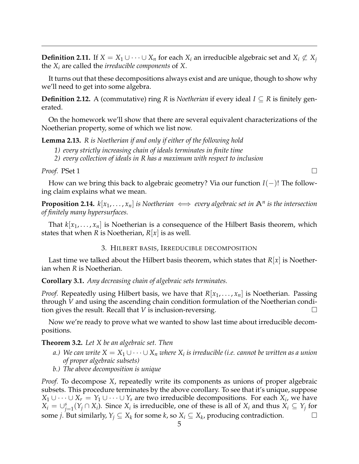**Definition 2.11.** If *X* = *X*<sub>1</sub> ∪ · · · ∪ *X*<sub>*n*</sub> for each *X*<sub>*i*</sub> an irreducible algebraic set and *X*<sub>*i*</sub>  $\not\subset$  *X*<sub>*i*</sub> the *X<sup>i</sup>* are called the *irreducible components* of *X*.

It turns out that these decompositions always exist and are unique, though to show why we'll need to get into some algebra.

**Definition 2.12.** A (commutative) ring *R* is *Noetherian* if every ideal *I* ⊆ *R* is finitely generated.

On the homework we'll show that there are several equivalent characterizations of the Noetherian property, some of which we list now.

**Lemma 2.13.** *R is Noetherian if and only if either of the following hold*

- *1) every strictly increasing chain of ideals terminates in finite time*
	- *2) every collection of ideals in R has a maximum with respect to inclusion*

*Proof.* PSet 1

How can we bring this back to algebraic geometry? Via our function *I*(−)! The following claim explains what we mean.

**Proposition 2.14.**  $k[x_1, \ldots, x_n]$  is Noetherian  $\iff$  every algebraic set in  $\mathbb{A}^n$  is the intersection *of finitely many hypersurfaces.*

That  $k[x_1, \ldots, x_n]$  is Noetherian is a consequence of the Hilbert Basis theorem, which states that when *R* is Noetherian,  $R[x]$  is as well.

## 3. HILBERT BASIS, IRREDUCIBLE DECOMPOSITION

<span id="page-4-0"></span>Last time we talked about the Hilbert basis theorem, which states that  $R[x]$  is Noetherian when *R* is Noetherian.

**Corollary 3.1.** *Any decreasing chain of algebraic sets terminates.*

*Proof.* Repeatedly using Hilbert basis, we have that *R*[*x*1, . . . , *xn*] is Noetherian. Passing through *V* and using the ascending chain condition formulation of the Noetherian condition gives the result. Recall that *V* is inclusion-reversing.

Now we're ready to prove what we wanted to show last time about irreducible decompositions.

**Theorem 3.2.** *Let X be an algebraic set. Then*

- *a.) We can write X* = *X*<sup>1</sup> ∪ · · · ∪ *X<sup>n</sup> where X<sup>i</sup> is irreducible (i.e. cannot be written as a union of proper algebraic subsets)*
- *b.) The above decomposition is unique*

*Proof.* To decompose *X*, repeatedly write its components as unions of proper algebraic subsets. This procedure terminates by the above corollary. To see that it's unique, suppose *X*<sub>1</sub> ∪ · · · ∪ *X*<sub>*r*</sub> = *Y*<sub>1</sub> ∪ · · · ∪ *Y*<sub>*s*</sub> are two irreducible decompositions. For each *X*<sub>*i*</sub>, we have  $X_i = \bigcup_{j=1}^s (Y_j \cap X_i)$ . Since  $X_i$  is irreducible, one of these is all of  $X_i$  and thus  $X_i \subseteq Y_j$  for some *j*. But similarly,  $Y_j$  ⊆  $X_k$  for some *k*, so  $X_i$  ⊆  $X_k$ , producing contradiction.  $\Box$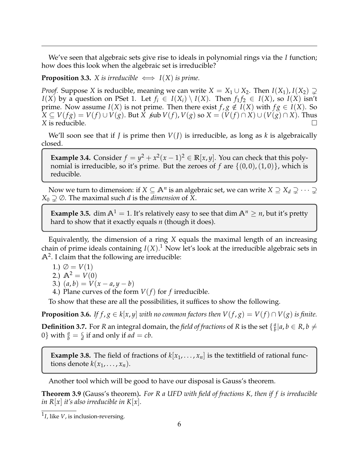We've seen that algebraic sets give rise to ideals in polynomial rings via the *I* function; how does this look when the algebraic set is irreducible?

**Proposition 3.3.** *X is irreducible*  $\iff I(X)$  *is prime.* 

*Proof.* Suppose *X* is reducible, meaning we can write  $X = X_1 \cup X_2$ . Then  $I(X_1)$ ,  $I(X_2) \supseteq I(X_1)$ *I*(*X*) by a question on PSet 1. Let  $f_i$  ∈ *I*(*X<sub>i</sub>*) \ *I*(*X*). Then  $f_1 f_2$  ∈ *I*(*X*), so *I*(*X*) isn't prime. Now assume *I*(*X*) is not prime. Then there exist  $f, g \notin I(X)$  with  $fg \in I(X)$ . So *X* ⊆ *V*(*fg*) = *V*(*f*) ∪ *V*(*g*). But *X s*ub *V*(*f*), *V*(*g*) so *X* = (*V*(*f*) ∩ *X*) ∪ (*V*(*g*) ∩ *X*). Thus *X* is reducible. □

We'll soon see that if *J* is prime then  $V(I)$  is irreducible, as long as *k* is algebraically closed.

**Example 3.4.** Consider  $f = y^2 + x^2(x-1)^2 \in \mathbb{R}[x, y]$ . You can check that this polynomial is irreducible, so it's prime. But the zeroes of f are  $\{(0,0), (1,0)\}\)$ , which is reducible.

Now we turn to dimension: if  $X \subseteq \mathbb{A}^n$  is an algebraic set, we can write  $X \supseteq X_d \supsetneq \cdots \supsetneq X_d$  $X_0 \supsetneq \emptyset$ . The maximal such *d* is the *dimension* of *X*.

**Example 3.5.** dim  $\mathbb{A}^1 = 1$ . It's relatively easy to see that dim  $\mathbb{A}^n \ge n$ , but it's pretty hard to show that it exactly equals *n* (though it does).

Equivalently, the dimension of a ring *X* equals the maximal length of an increasing chain of prime ideals containing *I*(*X*). [1](#page-5-0) Now let's look at the irreducible algebraic sets in **A**<sup>2</sup> . I claim that the following are irreducible:

$$
1.)\oslash = V(1)
$$

2.) 
$$
\mathbb{A}^2 = V(0)
$$

- 3.)  $(a, b) = V(x a, y b)$
- 4.) Plane curves of the form *V*(*f*) for *f* irreducible.

To show that these are all the possibilities, it suffices to show the following.

**Proposition 3.6.** *If*  $f$ ,  $g \in k[x, y]$  *with no common factors then*  $V(f, g) = V(f) \cap V(g)$  *is finite.* 

**Definition 3.7.** For *R* an integral domain, the *field of fractions* of *R* is the set  $\{\frac{a}{b}\}$  $\frac{a}{b}$ |a, b  $\in$  R, b  $\neq$ 0} with  $\frac{a}{b} = \frac{c}{d}$  if and only if  $ad = cb$ .

**Example 3.8.** The field of fractions of  $k[x_1, \ldots, x_n]$  is the textitfield of rational functions denote  $k(x_1, \ldots, x_n)$ .

Another tool which will be good to have our disposal is Gauss's theorem.

**Theorem 3.9** (Gauss's theorem)**.** *For R a UFD with field of fractions K, then if f is irreducible in*  $R[x]$  *it's also irreducible in*  $K[x]$ *.* 

<span id="page-5-0"></span><sup>1</sup> *I*, like *V*, is inclusion-reversing.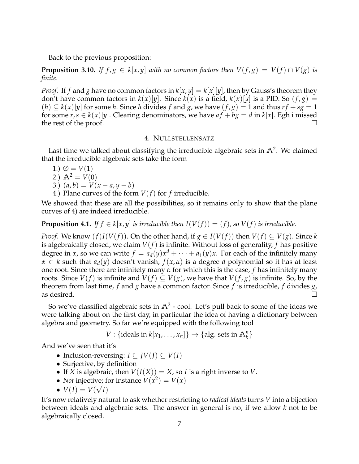Back to the previous proposition:

**Proposition 3.10.** If  $f, g \in k[x, y]$  with no common factors then  $V(f, g) = V(f) \cap V(g)$  is *finite.*

*Proof.* If *f* and *g* have no common factors in  $k[x, y] = k[x][y]$ , then by Gauss's theorem they don't have common factors in  $k(x)[y]$ . Since  $k(x)$  is a field,  $k(x)[y]$  is a PID. So  $(f, g)$  =  $(h) \subseteq k(x)[y]$  for some *h*. Since *h* divides *f* and *g*, we have  $(f,g) = 1$  and thus  $rf + sg = 1$ for some  $r, s \in k(x)[y]$ . Clearing denominators, we have  $af + bg = d$  in  $k[x]$ . Egh i missed the rest of the proof.  $\Box$ 

## 4. NULLSTELLENSATZ

<span id="page-6-0"></span>Last time we talked about classifying the irreducible algebraic sets in  $\mathbb{A}^2$ . We claimed that the irreducible algebraic sets take the form

1.)  $\emptyset = V(1)$ 

2.)  $\mathbb{A}^2 = V(0)$ 

- 3.)  $(a, b) = V(x a, y b)$
- 4.) Plane curves of the form  $V(f)$  for f irreducible.

We showed that these are all the possibilities, so it remains only to show that the plane curves of 4) are indeed irreducible.

**Proposition 4.1.** *If*  $f \in k[x, y]$  *is irreducible then*  $I(V(f)) = (f)$ *, so*  $V(f)$  *is irreducible.* 

*Proof.* We know  $(f)I(V(f))$ . On the other hand, if  $g \in I(V(f))$  then  $V(f) \subseteq V(g)$ . Since *k* is algebraically closed, we claim  $V(f)$  is infinite. Without loss of generality,  $f$  has positive degree in *x*, so we can write  $f = a_d(y)x^d + \cdots + a_1(y)x$ . For each of the infinitely many  $\alpha \in k$  such that  $a_d(y)$  doesn't vanish,  $f(x, \alpha)$  is a degree *d* polynomial so it has at least one root. Since there are infinitely many *α* for which this is the case, *f* has infinitely many roots. Since  $V(f)$  is infinite and  $V(f) \subseteq V(g)$ , we have that  $V(f,g)$  is infinite. So, by the theorem from last time, *f* and *g* have a common factor. Since *f* is irreducible, *f* divides *g*, as desired.  $\Box$ 

So we've classified algebraic sets in **A**<sup>2</sup> - cool. Let's pull back to some of the ideas we were talking about on the first day, in particular the idea of having a dictionary between algebra and geometry. So far we're equipped with the following tool

 $V: \{\text{ideals in } k[x_1, \ldots, x_n]\} \to \{\text{alg. sets in } \mathbb{A}_k^n\}$ 

And we've seen that it's

- Inclusion-reversing:  $I \subseteq IV(I) \subseteq V(I)$
- Surjective, by definition
- If *X* is algebraic, then  $V(I(X)) = X$ , so *I* is a right inverse to *V*.
- *Not* injective; for instance  $V(x^2) = V(x)$
- $\bullet$   $V(I) = V(\sqrt{I})$

It's now relatively natural to ask whether restricting to *radical ideals* turns *V* into a bijection between ideals and algebraic sets. The answer in general is no, if we allow *k* not to be algebraically closed.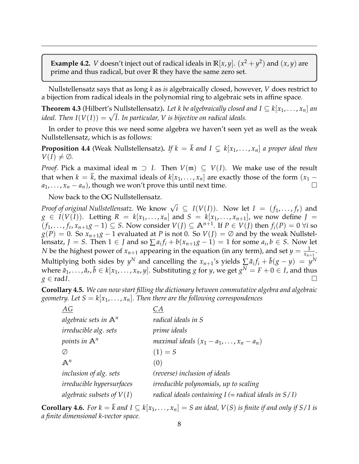**Example 4.2.** *V* doesn't inject out of radical ideals in  $\mathbb{R}[x, y]$ .  $(x^2 + y^2)$  and  $(x, y)$  are prime and thus radical, but over **R** they have the same zero set.

Nullstellensatz says that as long *k* as *is* algebraically closed, however, *V* does restrict to a bijection from radical ideals in the polynomial ring to algebraic sets in affine space.

**Theorem 4.3** (Hilbert's Nullstellensatz). Let k be algebraically closed and  $I \subseteq k[x_1, \ldots, x_n]$  and *i* neorem 4.5 (Hilbert s industellensatz). Let *k* be algebratally closed and ideals.<br>ideal. Then  $I(V(I)) = \sqrt{I}$ . In particular, *V* is bijective on radical ideals.

In order to prove this we need some algebra we haven't seen yet as well as the weak Nullstellensatz, which is as follows:

**Proposition 4.4** (Weak Nullstellensatz). If  $k = \overline{k}$  and  $I \subseteq k[x_1, \ldots, x_n]$  a proper ideal then  $V(I) \neq \emptyset$ .

*Proof.* Pick a maximal ideal  $m \supset I$ . Then  $V(m) \subseteq V(I)$ . We make use of the result that when  $k = \overline{k}$ , the maximal ideals of  $k[x_1, \ldots, x_n]$  are exactly those of the form  $(x_1$  $a_1, \ldots, x_n - a_n$ , though we won't prove this until next time.

Now back to the OG Nullstellensatz.

*Proof of original Nullstellensatz.* We know  $\sqrt{i} \subseteq I(V(I))$ . Now let  $I = (f_1, \ldots, f_r)$  and  $g \in I(V(\tilde{I}))$ . Letting  $R = k[x_1, \ldots, x_n]$  and  $S = k[x_1, \ldots, x_{n+1}]$ , we now define  $J =$  $(f_1, \ldots, f_r, x_{n+1}g - 1) \subseteq S$ . Now consider  $V(I) \subseteq \mathbb{A}^{n+1}$ . If  $P \in V(I)$  then  $f_i(P) = 0$   $\forall i$  so  $g(P) = 0$ . So  $x_{n+1}g - 1$  evaluated at *P* is not 0. So  $V(J) = \emptyset$  and by the weak Nullstellensatz,  $J = S$ . Then  $1 \in J$  and so  $\sum a_i f_i + b(x_{n+1}g - 1) = 1$  for some  $a_i, b \in S$ . Now let *N* be the highest power of  $x_{n+1}$  appearing in the equation (in any term), and set  $y = \frac{1}{x_{n+1}}$ . Multiplying both sides by  $y^N$  and cancelling the  $x_{n+1}$ 's yields  $\sum \tilde{a}_if_i + \tilde{b}(g-y) \ = \ y^N$ where  $\tilde{a}_1,\ldots,\tilde{a}_r$ ,  $\tilde{b}\in k[x_1,\ldots,x_n,y].$  Substituting  $g$  for  $y$ , we get  $g^N=F+0\in I$ , and thus  $g \in \text{rad}$ *I*.

**Corollary 4.5.** *We can now start filling the dictionary between commutative algebra and algebraic geometry.* Let  $S = k[x_1, \ldots, x_n]$ . Then there are the following correspondences

| АG                               | СA                                                         |
|----------------------------------|------------------------------------------------------------|
| algebraic sets in $\mathbb{A}^n$ | radical ideals in S                                        |
| irreducible alg. sets            | prime ideals                                               |
| points in $\mathbb{A}^n$         | maximal ideals $(x_1 - a_1, \ldots, x_n - a_n)$            |
| Ø                                | $(1) = S$                                                  |
| $\mathbb{A}^n$                   | (0)                                                        |
| <i>inclusion of alg. sets</i>    | (reverse) inclusion of ideals                              |
| irreducible hypersurfaces        | <i>irreducible polynomials, up to scaling</i>              |
| algebraic subsets of $V(I)$      | radical ideals containing $I$ (= radical ideals in $S/I$ ) |
|                                  |                                                            |

**Corollary 4.6.** For  $k = \overline{k}$  and  $I \subseteq k[x_1, \ldots, x_n] = S$  an ideal,  $V(S)$  is finite if and only if  $S/I$  is *a finite dimensional k-vector space.*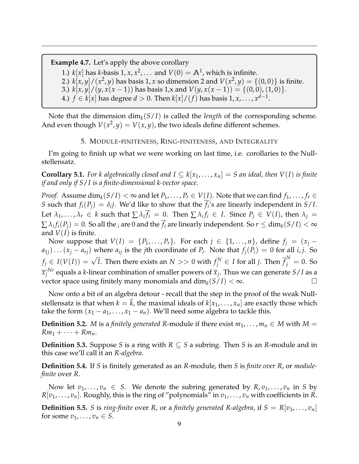**Example 4.7.** Let's apply the above corollary

1.)  $k[x]$  has *k*-basis 1,  $x$ ,  $x^2$ ,... and  $V(0) = \mathbb{A}^1$ , which is infinite.

2.)  $k[x,y]/(x^2,y)$  has basis 1,  $x$  so dimension 2 and  $V(x^2,y) = \{(0,0)\}$  is finite.

3.)  $k[x, y]/(y, x(x-1))$  has basis 1,x and  $V(y, x(x-1)) = \{(0, 0), (1, 0)\}.$ 

4.) *f* ∈ *k*[*x*] has degree *d* > 0. Then *k*[*x*]/(*f*) has basis 1, *x*, . . . , *x<sup>d−1</sup>*.

Note that the dimension  $\dim_k(S/I)$  is called the *length* of the corresponding scheme. And even though  $V(x^2, y) = V(x, y)$ , the two ideals define different schemes.

### 5. MODULE-FINITENESS, RING-FINITENESS, AND INTEGRALITY

<span id="page-8-0"></span>I'm going to finish up what we were working on last time, i.e. corollaries to the Nullstellensatz.

**Corollary 5.1.** *For k algebraically closed and I* ⊆  $k[x_1, \ldots, x_n] = S$  *an ideal, then*  $V(I)$  *is finite if and only if S*/*I is a finite-dimensional k-vector space.*

*Proof.* Assume  $\dim_k(S/I) < \infty$  and let  $P_1, \ldots, P_r \in V(I)$ . Note that we can find  $f_1, \ldots, f_r \in V(I)$ *S* such that  $f_i(P_j) = \delta_i j$ . We'd like to show that the  $f_i$ 's are linearly independent in *S*/*I*. Let  $\lambda_1, \ldots, \lambda_r \in k$  such that  $\sum \lambda_i f_i = 0$ . Then  $\sum \lambda_i f_i \in I$ . Since  $P_j \in V(I)$ , then  $\lambda_j =$  $\sum \lambda_i f_i(P_j)=0.$  So all the  $_i$  are  $0$  and the  $\overline{f_i}$  are linearly independent. So  $r\leq \dim_k(S/I)<\infty$ and  $V(I)$  is finite.

Now suppose that  $V(I) = \{P_1, \ldots, P_r\}$ . For each  $j \in \{1, \ldots, n\}$ , define  $f_j = (x_j$  $a_{1j}$ )... $(x_j - a_{rj})$  where  $a_{ij}$  is the *j*th coordinate of  $P_i$ . Note that  $f_j(P_i) = 0$  for all *i*, *j*. So *f*<sub>*j*</sub> ∈ *I*(*V*(*I*)) = √*I*. Then there exists an *N* >> 0 with *f*<sup>*N*</sup><sub>*j*</sub> ∈ *I* for all *j*. Then  $\overline{f}^N_j$  = 0. So  $\overline{x_j}^{Nr}$  equals a *k*-linear combination of smaller powers of  $\overline{x}_j$ . Thus we can generate  $S/I$  as a vector space using finitely many monomials and  $\dim_k(S/I) < \infty$ .

Now onto a bit of an algebra detour - recall that the step in the proof of the weak Nullstellensatz is that when  $k = \overline{k}$ , the maximal ideals of  $k[x_1, \ldots, x_n]$  are exactly those which take the form  $(x_1 - a_1, \ldots, x_1 - a_n)$ . We'll need some algebra to tackle this.

**Definition 5.2.** *M* is a *finitely generated R*-module if there exist  $m_1, \ldots, m_n \in M$  with  $M =$  $Rm_1 + \cdots + Rm_n$ .

**Definition 5.3.** Suppose *S* is a ring with *R* ⊂ *S* a subring. Then *S* is an *R*-module and in this case we'll call it an *R-algebra*.

**Definition 5.4.** If *S* is finitely generated as an *R*-module, then *S* is *finite over R*, or *modulefinite* over *R*.

Now let  $v_1, \ldots, v_n \in S$ . We denote the subring generated by  $R, v_1, \ldots, v_n$  in *S* by  $R[v_1, \ldots, v_n]$ . Roughly, this is the ring of "polynomials" in  $v_1, \ldots, v_n$  with coefficients in *R*.

**Definition 5.5.** *S* is *ring-finite* over *R*, or a *finitely generated R-algebra*, if  $S = R[v_1, \ldots, v_n]$ for some  $v_1, \ldots, v_n \in S$ .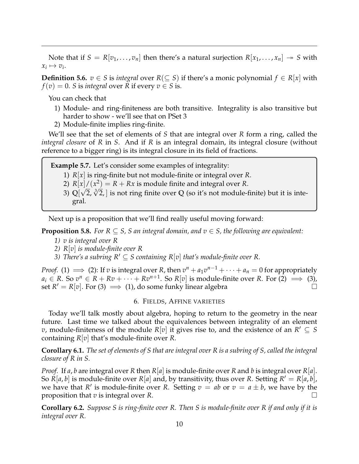Note that if  $S = R[v_1, \ldots, v_n]$  then there's a natural surjection  $R[x_1, \ldots, x_n] \rightarrow S$  with  $x_i \mapsto v_i$ .

**Definition 5.6.**  $v \in S$  is *integral* over  $R(\subseteq S)$  if there's a monic polynomial  $f \in R[x]$  with  $f(v) = 0$ . *S* is *integral* over *R* if every  $v \in S$  is.

You can check that

- 1) Module- and ring-finiteness are both transitive. Integrality is also transitive but harder to show - we'll see that on PSet 3
- 2) Module-finite implies ring-finite.

We'll see that the set of elements of *S* that are integral over *R* form a ring, called the *integral closure* of *R* in *S*. And if *R* is an integral domain, its integral closure (without reference to a bigger ring) is its integral closure in its field of fractions.

**Example 5.7.** Let's consider some examples of integrality:

- 1) *R*[*x*] is ring-finite but not module-finite or integral over *R*.
- 2)  $R[x]/(x^2) = R + Rx$  is module finite and integral over *R*.
- 2)  $K[x]/(x^2) = K + Kx$  is module linite and integral over K.<br>3)  $\mathbb{Q}[\sqrt{2}, \sqrt[3]{2}]$  is not ring finite over Q (so it's not module-finite) but it is integral.

Next up is a proposition that we'll find really useful moving forward:

**Proposition 5.8.** For  $R \subseteq S$ , S an integral domain, and  $v \in S$ , the following are equivalent:

- *1) v is integral over R*
- *2) R*[*v*] *is module-finite over R*
- *3) There's a subring*  $R' \subseteq S$  *containing*  $R[v]$  *that's module-finite over* R.

*Proof.* (1)  $\implies$  (2): If *v* is integral over *R*, then  $v^n + a_1v^{n-1} + \cdots + a_n = 0$  for appropriately  $a_i \in R$ . So  $v^n \in R + Rv + \cdots + Rv^{n+1}$ . So  $R[v]$  is module-finite over *R*. For (2)  $\implies$  (3), set  $R' = R[v]$ . For (3)  $\implies$  (1), do some funky linear algebra

# 6. FIELDS, AFFINE VARIETIES

<span id="page-9-0"></span>Today we'll talk mostly about algebra, hoping to return to the geometry in the near future. Last time we talked about the equivalences between integrality of an element *v*, module-finiteness of the module  $R[v]$  it gives rise to, and the existence of an  $R' \subseteq S$ containing *R*[*v*] that's module-finite over *R*.

**Corollary 6.1.** *The set of elements of S that are integral over R is a subring of S, called the integral closure of R in S.*

*Proof.* If *a*, *b* are integral over *R* then *R*[*a*] is module-finite over *R* and *b* is integral over *R*[*a*]. So  $\tilde{R}[a, b]$  is module-finite over  $R[a]$  and, by transitivity, thus over  $R$ . Setting  $R' = R[a, b]$ , we have that *R'* is module-finite over *R*. Setting  $v = ab$  or  $v = a \pm b$ , we have by the proposition that *v* is integral over *R*.

**Corollary 6.2.** *Suppose S is ring-finite over R. Then S is module-finite over R if and only if it is integral over R.*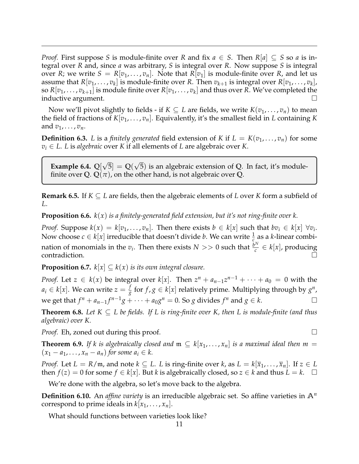*Proof.* First suppose *S* is module-finite over *R* and fix  $a \in S$ . Then  $R[a] \subseteq S$  so *a* is integral over *R* and, since *a* was arbitrary, *S* is integral over *R*. Now suppose *S* is integral over *R*; we write  $S = R[v_1, \ldots, v_n]$ . Note that  $R[v_1]$  is module-finite over *R*, and let us assume that  $R[v_1, \ldots, v_k]$  is module-finite over  $R$ . Then  $v_{k+1}$  is integral over  $R[v_1, \ldots, v_k]$ , so  $R[v_1,\ldots,v_{k+1}]$  is module finite over  $R[v_1,\ldots,v_k]$  and thus over  $R.$  We've completed the inductive argument.  $\Box$ 

Now we'll pivot slightly to fields - if  $K \subseteq L$  are fields, we write  $K(v_1, \ldots, v_n)$  to mean the field of fractions of *K*[*v*1, . . . , *vn*]. Equivalently, it's the smallest field in *L* containing *K* and  $v_1, \ldots, v_n$ .

**Definition 6.3.** *L* is a *finitely generated* field extension of *K* if  $L = K(v_1, \ldots, v_n)$  for some *v<sup>i</sup>* ∈ *L*. *L* is *algebraic* over *K* if all elements of *L* are algebraic over *K*.

**Example 6.4. Q**[ √ 5] = **Q**( √ 5) is an algebraic extension of **Q**. In fact, it's modulefinite over Q.  $\mathbb{Q}(\pi)$ , on the other hand, is not algebraic over Q.

**Remark 6.5.** If  $K \subseteq L$  are fields, then the algebraic elements of L over K form a subfield of *L*.

**Proposition 6.6.** *k*(*x*) *is a finitely-generated field extension, but it's not ring-finite over k.*

*Proof.* Suppose  $k(x) = k[v_1, \ldots, v_n]$ . Then there exists  $b \in k[x]$  such that  $bv_i \in k[x] \ \forall v_i$ . Now choose  $c \in k[x]$  irreducible that doesn't divide *b*. We can write  $\frac{1}{c}$  as a *k*-linear combination of monomials in the  $v_i$ . Then there exists  $N >> 0$  such that  $\frac{b^N}{c} \in k[x]$ , producing contradiction.  $\Box$ 

**Proposition 6.7.**  $k[x] \subseteq k(x)$  *is its own integral closure.* 

*Proof.* Let  $z \in k(x)$  be integral over  $k[x]$ . Then  $z^n + a_{n-1}z^{n-1} + \cdots + a_0 = 0$  with the  $a_i \in k[x]$ . We can write  $z = \frac{f}{g}$  $\frac{f}{g}$  for  $f$ ,  $g \in k[x]$  relatively prime. Multiplying through by  $g^n$ ,  $\Box$  we get that  $f^n + a_{n-1}f^{n-1}g + \cdots + a_0g^n = 0$ . So *g* divides  $f^n$  and  $g \in k$ .  $\Box$ 

**Theorem 6.8.** Let  $K \subseteq L$  be fields. If L is ring-finite over K, then L is module-finite (and thus *algebraic) over K.*

*Proof.* Eh, zoned out during this proof. □

**Theorem 6.9.** If k is algebraically closed and  $m \subseteq k[x_1, \ldots, x_n]$  is a maximal ideal then  $m =$  $(x_1 - a_1, \ldots, x_n - a_n)$  for some  $a_i \in k$ .

*Proof.* Let  $L = R/\mathfrak{m}$ , and note  $k \subseteq L$ . *L* is ring-finite over  $k$ , as  $L = k[\overline{x}_1, \ldots, \overline{x}_n]$ . If  $z \in L$ then  $f(z) = 0$  for some  $f \in k|x|$ . But *k* is algebraically closed, so *z* ∈ *k* and thus *L* = *k*. □

We're done with the algebra, so let's move back to the algebra.

**Definition 6.10.** An *affine variety* is an irreducible algebraic set. So affine varieties in **A***<sup>n</sup>* correspond to prime ideals in  $k[x_1, \ldots, x_n]$ .

What should functions between varieties look like?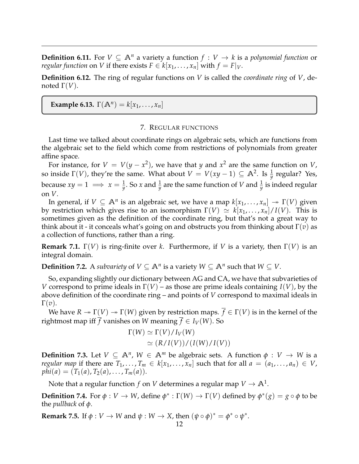**Definition 6.11.** For *V* ⊆  $\mathbb{A}^n$  a variety a function *f* : *V*  $\rightarrow$  *k* is a *polynomial function* or *regular function* on *V* if there exists  $F \in k[x_1, \ldots, x_n]$  with  $f = F|_V$ .

**Definition 6.12.** The ring of regular functions on *V* is called the *coordinate ring* of *V*, denoted  $Γ(V)$ .

**Example 6.13.**  $\Gamma(\mathbb{A}^n) = k[x_1, \ldots, x_n]$ 

#### 7. REGULAR FUNCTIONS

<span id="page-11-0"></span>Last time we talked about coordinate rings on algebraic sets, which are functions from the algebraic set to the field which come from restrictions of polynomials from greater affine space.

For instance, for  $V = V(y - x^2)$ , we have that *y* and  $x^2$  are the same function on *V*, so inside  $\Gamma(V)$ , they're the same. What about  $V = V(xy - 1) \subseteq \mathbb{A}^2$ . Is  $\frac{1}{y}$  regular? Yes, because  $xy = 1 \implies x = \frac{1}{y}$ . So  $x$  and  $\frac{1}{y}$  are the same function of  $V$  and  $\frac{1}{y}$  is indeed regular on *V*.

In general, if  $V \subseteq \mathbb{A}^n$  is an algebraic set, we have a map  $k[x_1, \ldots, x_n] \twoheadrightarrow \Gamma(V)$  given by restriction which gives rise to an isomorphism  $\Gamma(V) \simeq k[x_1, \ldots, x_n]/I(V)$ . This is sometimes given as the definition of the coordinate ring, but that's not a great way to think about it - it conceals what's going on and obstructs you from thinking about Γ(*v*) as a collection of functions, rather than a ring.

**Remark 7.1.** Γ(*V*) is ring-finite over *k*. Furthermore, if *V* is a variety, then Γ(*V*) is an integral domain.

**Definition 7.2.** A *subvariety* of  $V \subseteq \mathbb{A}^n$  is a variety  $W \subseteq \mathbb{A}^n$  such that  $W \subseteq V$ .

So, expanding slightly our dictionary between AG and CA, we have that subvarieties of *V* correspond to prime ideals in  $\Gamma(V)$  – as those are prime ideals containing  $I(V)$ , by the above definition of the coordinate ring – and points of *V* correspond to maximal ideals in  $\Gamma(v)$ .

We have  $R \to \Gamma(V) \to \Gamma(W)$  given by restriction maps.  $\overline{f} \in \Gamma(V)$  is in the kernel of the rightmost map iff  $\overline{f}$  vanishes on *W* meaning  $\overline{f} \in I_V(W)$ . So

$$
\Gamma(W) \simeq \Gamma(V)/I_V(W)
$$
  
\simeq (R/I(V))/(I(W)/I(V))

**Definition 7.3.** Let  $V \subseteq \mathbb{A}^n$ ,  $W \in \mathbb{A}^m$  be algebraic sets. A function  $\phi : V \to W$  is a *regular map* if there are  $T_1, \ldots, T_m \in k[x_1, \ldots, x_n]$  such that for all  $a = (a_1, \ldots, a_n) \in V$ ,  $phi(a) = (T_1(a), T_2(a), \ldots, T_m(a)).$ 

Note that a regular function  $f$  on  $V$  determines a regular map  $V \to \mathbb{A}^1.$ 

**Definition 7.4.** For  $\phi: V \to W$ , define  $\phi^*: \Gamma(W) \to \Gamma(V)$  defined by  $\phi^*(g) = g \circ \phi$  to be the *pullback* of *φ*.

**Remark 7.5.** If  $\phi: V \to W$  and  $\psi: W \to X$ , then  $(\psi \circ \phi)^* = \phi^* \circ \psi^*$ .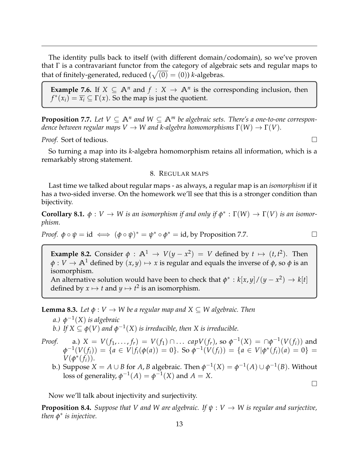The identity pulls back to itself (with different domain/codomain), so we've proven that Γ is a contravariant functor from the category of algebraic sets and regular maps to that of finitely-generated, reduced ( $\sqrt{(0)} = (0)$ ) *k*-algebras.

**Example 7.6.** If  $X \subseteq \mathbb{A}^n$  and  $f : X \to \mathbb{A}^n$  is the corresponding inclusion, then  $f^*(x_i) = \overline{x_i} \subseteq \Gamma(x)$ . So the map is just the quotient.

**Proposition 7.7.** Let  $V \subseteq \mathbb{A}^n$  and  $W \subseteq \mathbb{A}^m$  be algebraic sets. There's a one-to-one correspon*dence between regular maps*  $V \to W$  *and k-algebra homomorphisms*  $\Gamma(W) \to \Gamma(V)$ *.* 

*Proof.* Sort of tedious. □

So turning a map into its *k*-algebra homomorphism retains all information, which is a remarkably strong statement.

## 8. REGULAR MAPS

<span id="page-12-0"></span>Last time we talked about regular maps - as always, a regular map is an *isomorphism* if it has a two-sided inverse. On the homework we'll see that this is a stronger condition than bijectivity.

**Corollary 8.1.**  $\phi: V \to W$  is an isomorphism if and only if  $\phi^*: \Gamma(W) \to \Gamma(V)$  is an isomor*phism.*

*Proof.*  $\phi \circ \psi = id \iff (\phi \circ \psi)^* = \psi^* \circ \phi^* = id$ , by Proposition 7.7.

**Example 8.2.** Consider  $\phi : \mathbb{A}^1 \to V(y - x^2) = V$  defined by  $t \mapsto (t, t^2)$ . Then  $\phi: V \to \mathbb{A}^1$  defined by  $(x, y) \mapsto x$  is regular and equals the inverse of  $\phi$ , so  $\phi$  is an isomorphism. An alternative solution would have been to check that  $\phi^* : k[x, y]/(y - x^2) \to k[t]$ defined by  $x \mapsto t$  and  $y \mapsto t^2$  is an isomorphism.

**Lemma 8.3.** *Let*  $\phi: V \to W$  *be a regular map and*  $X \subseteq W$  *algebraic. Then* 

*a.) φ* −1 (*X*) *is algebraic b.)* If  $X \subseteq \phi(V)$  and  $\phi^{-1}(X)$  is irreducible, then X is irreducible.

- *Proof.* a.)  $X = V(f_1, ..., f_r) = V(f_1) \cap ...$  *cap* $V(f_r)$ , so  $\phi^{-1}(X) = \bigcap \phi^{-1}(V(f_i))$  and  $\phi^{-1}(V(f_i)) = \{a \in V | f_i(\phi(a)) = 0\}.$  So  $\phi^{-1}(V(f_i)) = \{a \in V | \phi^*(f_i)(a) = 0\}$  $V(\phi^*(f_i)).$ 
	- b.) Suppose  $X = A \cup B$  for  $A$ ,  $B$  algebraic. Then  $\phi^{-1}(X) = \phi^{-1}(A) \cup \phi^{-1}(B)$ . Without loss of generality,  $\phi^{-1}(A) = \phi^{-1}(X)$  and  $A = X$ .

Now we'll talk about injectivity and surjectivity.

**Proposition 8.4.** *Suppose that V and W are algebraic.* If  $\psi : V \to W$  is regular and surjective, *then φ* ∗ *is injective.*

 $\Box$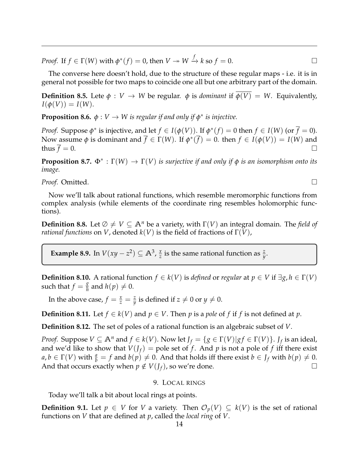*Proof.* If  $f \in \Gamma(W)$  with  $\phi^*(f) = 0$ , then  $V \twoheadrightarrow W \stackrel{f}{\to} k$  so  $f = 0$ .

The converse here doesn't hold, due to the structure of these regular maps - i.e. it is in general not possible for two maps to coincide one all but one arbitrary part of the domain.

**Definition 8.5.** Lete  $\phi : V \to W$  be regular.  $\phi$  is *dominant* if  $\overline{\phi(V)} = W$ . Equivalently,  $I(\phi(V)) = I(W)$ .

**Proposition 8.6.**  $\phi: V \to W$  is regular if and only if  $\phi^*$  is injective.

*Proof.* Suppose  $\phi^*$  is injective, and let  $f \in I(\phi(V))$ . If  $\phi^*(f) = 0$  then  $f \in I(W)$  (or  $\overline{f} = 0$ ). Now assume  $\phi$  is dominant and  $\overline{f} \in \Gamma(W)$ . If  $\phi^*(\overline{f}) = 0$ . then  $f \in I(\phi(V)) = I(W)$  and thus  $\overline{f} = 0$ .

**Proposition 8.7.**  $\Phi^*$  :  $\Gamma(W) \to \Gamma(V)$  *is surjective if and only if*  $\phi$  *is an isomorphism onto its image.*

*Proof.* Omitted.

Now we'll talk about rational functions, which resemble meromorphic functions from complex analysis (while elements of the coordinate ring resembles holomorphic functions).

**Definition 8.8.** Let  $\emptyset \neq V \subseteq \mathbb{A}^n$  be a variety, with  $\Gamma(V)$  an integral domain. The *field of rational functions* on *V*, denoted  $k(V)$  is the field of fractions of  $\Gamma(V)$ ,

**Example 8.9.** In  $V(xy - z^2) \subseteq \mathbb{A}^3$ ,  $\frac{x}{z}$  $\frac{x}{z}$  is the same rational function as  $\frac{z}{y}$ .

**Definition 8.10.** A rational function  $f \in k(V)$  is *defined* or *regular* at  $p \in V$  if  $\exists g, h \in \Gamma(V)$ such that  $f = \frac{g}{h}$  $\frac{g}{h}$  and  $h(p) \neq 0$ .

In the above case,  $f = \frac{x}{z} = \frac{z}{y}$  is defined if  $z \neq 0$  or  $y \neq 0$ .

**Definition 8.11.** Let *f* ∈ *k*(*V*) and *p* ∈ *V*. Then *p* is a *pole* of *f* if *f* is not defined at *p*.

**Definition 8.12.** The set of poles of a rational function is an algebraic subset of *V*.

*Proof.* Suppose  $V \subseteq \mathbb{A}^n$  and  $f \in k(V)$ . Now let  $J_f = \{g \in \Gamma(V) | gf \in \Gamma(V)\}$ .  $J_f$  is an ideal, and we'd like to show that  $V(f_f)$  = pole set of f. And p is not a pole of f iff there exist  $a, b \in \Gamma(V)$  with  $\frac{a}{b} = f$  and  $b(p) \neq 0$ . And that holds iff there exist  $b \in J_f$  with  $b(p) \neq 0$ . And that occurs exactly when  $p \notin V(J_f)$ , so we're done.

### 9. LOCAL RINGS

<span id="page-13-0"></span>Today we'll talk a bit about local rings at points.

**Definition 9.1.** Let *p* ∈ *V* for *V* a variety. Then  $\mathcal{O}_p(V) \subseteq k(V)$  is the set of rational functions on *V* that are defined at *p*, called the *local ring* of *V*.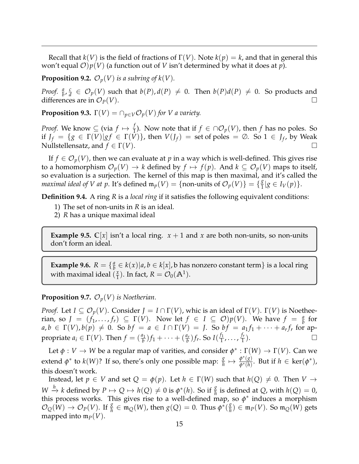Recall that  $k(V)$  is the field of fractions of  $\Gamma(V)$ . Note  $k(p) = k$ , and that in general this won't equal  $\mathcal{O}$ ) $p(V)$  (a function out of *V* isn't determined by what it does at *p*).

**Proposition 9.2.**  $\mathcal{O}_p(V)$  *is a subring of k*(*V*).

*Proof.*  $\frac{a}{b}$ ,  $\frac{c}{d}$  $\frac{c}{d} \in \mathcal{O}_p(V)$  such that  $b(P), d(P) \neq 0$ . Then  $b(P)d(P) \neq 0$ . So products and differences are in  $\mathcal{O}_P(V)$ .

**Proposition 9.3.**  $\Gamma(V) = \bigcap_{p \in V} \mathcal{O}_p(V)$  for V a variety.

*Proof.* We know  $\subseteq$  (via  $f \mapsto \frac{f}{1}$ ). Now note that if  $f \in \bigcap \mathcal{O}_p(V)$ , then *f* has no poles. So if  $J_f = \{ g \in \Gamma(V) | gf \in \Gamma(V) \}$ , then  $V(J_f) =$  set of poles  $= \emptyset$ . So  $1 \in J_f$ , by Weak Nullstellensatz, and  $f \in \Gamma(V)$ .

If  $f \in \mathcal{O}_p(V)$ , then we can evaluate at *p* in a way which is well-defined. This gives rise to a homomorphism  $\mathcal{O}_p(V) \to k$  defined by  $f \mapsto f(p)$ . And  $k \subseteq \mathcal{O}_p(V)$  maps to itself, so evaluation is a surjection. The kernel of this map is then maximal, and it's called the *maximal ideal of V at p.* It's defined  $\mathfrak{m}_p(V) = \{ \text{non-units of } \mathcal{O}_p(V) \} = \{ \frac{g}{1} \}$  $\frac{g}{1} | g \in I_V(p) \}.$ 

**Definition 9.4.** A ring *R* is a *local ring* if it satisfies the following equivalent conditions:

- 1) The set of non-units in *R* is an ideal.
- 2) *R* has a unique maximal ideal

**Example 9.5.**  $C[x]$  isn't a local ring.  $x + 1$  and  $x$  are both non-units, so non-units don't form an ideal.

**Example 9.6.**  $R = \begin{cases} \frac{a}{b} \end{cases}$  $\frac{a}{b} \in k(x)|a,b \in k[x]$ , b has nonzero constant term  $\}$  is a local ring with maximal ideal ( *x*  $\frac{x}{1}$ ). In fact,  $R = \mathcal{O}_0(\mathbb{A}^1)$ .

# **Proposition 9.7.**  $\mathcal{O}_p(V)$  *is Noetherian.*

*Proof.* Let  $I \subseteq \mathcal{O}_p(V)$ . Consider  $J = I \cap \Gamma(V)$ , whic is an ideal of  $\Gamma(V)$ .  $\Gamma(V)$  is Noetheerian, so  $J = (f_1, \ldots, f_r) \subseteq \Gamma(V)$ . Now let  $f \in I \subseteq \mathcal{O}$   $p(V)$ . We have  $f = \frac{a}{b}$  for  $a, b \in \Gamma(V), b(p) \neq 0$ . So  $bf = a \in I \cap \Gamma(V) = J$ . So  $bf = a_1 f_1 + \cdots + a_r f_r$  for appropriate  $a_i \in \Gamma(V)$ . Then  $f = \left(\frac{a_1}{b}\right) f_1 + \cdots + \left(\frac{a_r}{b}\right) f_r$ . So  $I(\frac{f_1}{1})$  $\frac{f_1}{1}, \ldots, \frac{f_r}{1}$ 1  $\Box$ 

Let  $\phi: V \to W$  be a regular map of varities, and consider  $\phi^* : \Gamma(W) \to \Gamma(V)$ . Can we extend  $\phi^*$  to  $k(W)$ ? If so, there's only one possible map:  $\frac{g}{h} \mapsto \frac{\phi^*(g)}{\phi^*(h)}$ *φ*∗(*h*) . But if *h* ∈ ker(*φ* ∗ ), this doesn't work.

Instead, let  $p \in V$  and set  $Q = \phi(p)$ . Let  $h \in \Gamma(W)$  such that  $h(Q) \neq 0$ . Then  $V \rightarrow$  $W \xrightarrow{h} k$  defined by  $P \mapsto Q \mapsto h(Q) \neq 0$  is  $\phi^*(h)$ . So if  $\frac{g}{h}$  is defined at *Q*, with  $h(Q) = 0$ , this process works. This gives rise to a well-defined map, so  $\phi^*$  induces a morphism  $\mathcal{O}_Q(W) \to \mathcal{O}_P(V)$ . If  $\frac{g}{h} \in \mathfrak{m}_Q(W)$ , then  $g(Q) = 0$ . Thus  $\phi^*(\frac{g}{h})$  $\frac{g}{h}) \in \mathfrak{m}_P(V)$ . So  $\mathfrak{m}_Q(W)$  gets mapped into  $m_P(V)$ .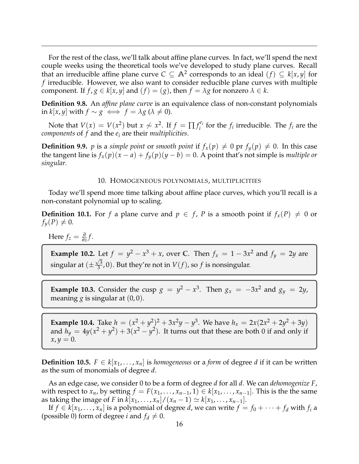For the rest of the class, we'll talk about affine plane curves. In fact, we'll spend the next couple weeks using the theoretical tools we've developed to study plane curves. Recall that an irreducible affine plane curve  $C \subseteq \mathbb{A}^2$  corresponds to an ideal  $(f) \subseteq k[x,y]$  for *f* irreducible. However, we also want to consider reducible plane curves with multiple component. If  $f, g \in k[x, y]$  and  $(f) = (g)$ , then  $f = \lambda g$  for nonzero  $\lambda \in k$ .

**Definition 9.8.** An *affine plane curve* is an equivalence class of non-constant polynomials in *k*[*x*, *y*] with  $f \sim g$  ⇔  $f = \lambda g$  ( $\lambda \neq 0$ ).

Note that  $V(x) = V(x^2)$  but  $x \nsim x^2$ . If  $f = \prod f_i^{e_i}$  $f_i$  for the  $f_i$  irreducible. The  $f_i$  are the *components* of *f* and the *e<sup>i</sup>* are their *multiplicities*.

**Definition 9.9.** *p* is a *simple point* or *smooth point* if  $f_x(p) \neq 0$  pr  $f_y(p) \neq 0$ . In this case the tangent line is  $f_x(p)(x-a) + f_y(p)(y-b) = 0$ . A point that's not simple is *multiple or singular.*

### 10. HOMOGENEOUS POLYNOMIALS, MULTIPLICITIES

<span id="page-15-0"></span>Today we'll spend more time talking about affine place curves, which you'll recall is a non-constant polynomial up to scaling.

**Definition 10.1.** For *f* a plane curve and  $p \in f$ , *P* is a smooth point if  $f_x(P) \neq 0$  or  $f_y(P) \neq 0$ .

Here  $f_z = \frac{\partial}{\partial z} f$ .

**Example 10.2.** Let  $f = y^2 - x^3 + x$ , over **C**. Then  $f_x = 1 - 3x^2$  and  $f_y = 2y$  are singular at  $(\pm \frac{\sqrt{3}}{3})$  $\frac{\sqrt{3}}{3}$ , 0). But they're not in  $V(f)$ , so  $f$  is nonsingular.

**Example 10.3.** Consider the cusp  $g = y^2 - x^3$ . Then  $g_x = -3x^2$  and  $g_y = 2y$ , meaning  $g$  is singular at  $(0, 0)$ .

**Example 10.4.** Take  $h = (x^2 + y^2)^2 + 3x^2y - y^3$ . We have  $h_x = 2x(2x^2 + 2y^2 + 3y)$ and  $h_y = 4y(x^2 + y^2) + 3(x^2 - y^2)$ . It turns out that these are both 0 if and only if  $x, y = 0.$ 

**Definition 10.5.**  $F \in k[x_1, \ldots, x_n]$  is *homogeneous* or a *form* of degree *d* if it can be written as the sum of monomials of degree *d*.

As an edge case, we consider 0 to be a form of degree *d* for all *d*. We can *dehomogenize F*, with respect to  $x_n$ , by setting  $f = F(x_1, \ldots, x_{n-1}, 1) \in k[x_1, \ldots, x_{n-1}]$ . This is the the same as taking the image of *F* in  $k[x_1, ..., x_n]/(x_n - 1) \simeq k[x_1, ..., x_{n-1}].$ 

If  $f \in k[x_1, \ldots, x_n]$  is a polynomial of degree *d*, we can write  $f = f_0 + \cdots + f_d$  with  $f_i$  a (possible 0) form of degree *i* and  $f_d \neq 0$ .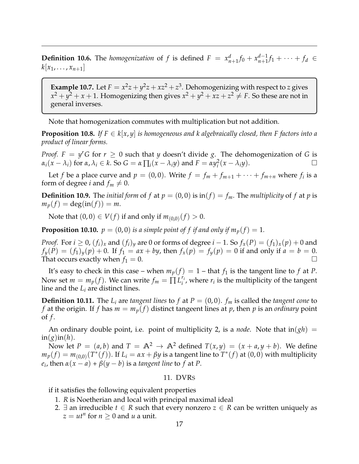**Definition 10.6.** The *homogenization* of *f* is defined  $F = x_{n+1}^d f_0 + x_{n+1}^{d-1}$  $a_{n+1}^{d-1}f_1 + \cdots + f_d \in$  $k[x_1, \ldots, x_{n+1}]$ 

**Example 10.7.** Let  $F = x^2z + y^2z + xz^2 + z^3$ . Dehomogenizing with respect to *z* gives  $x^2 + y^2 + x + 1$ . Homogenizing then gives  $x^2 + y^2 + xz + z^2 \neq F$ . So these are not in general inverses.

Note that homogenization commutes with multiplication but not addition.

**Proposition 10.8.** *If*  $F \in k[x, y]$  *is homogeneous and k algebraically closed, then F factors into a product of linear forms.*

*Proof.*  $F = y^r G$  for  $r \ge 0$  such that *y* doesn't divide *g*. The dehomogenization of *G* is *α*<sub>*i*</sub>( $x - λ$ *i*) for *α*,  $λ$ *<sub><i>i*</sub> ∈ *k*. So *G* = *α*  $\prod_i$ ( $x − λ$ *iy*) and  $F = αy_i^2$  $\Box$ <sup>2</sup><sub>*i*</sub>(*x* − *λ*<sub>*i*</sub>*y*).  $\Box$ 

Let *f* be a place curve and  $p = (0, 0)$ . Write  $f = f_m + f_{m+1} + \cdots + f_{m+n}$  where  $f_i$  is a form of degree *i* and  $f_m \neq 0$ .

**Definition 10.9.** The *initial form* of *f* at  $p = (0,0)$  is  $\text{in}(f) = f_m$ . The *multiplicity* of *f* at *p* is  $m_p(f) = \deg(\text{in}(f)) = m$ .

Note that  $(0,0) \in V(f)$  if and only if  $m_{(0,0)}(f) > 0$ .

**Proposition 10.10.**  $p = (0, 0)$  *is a simple point of f if and only if*  $m_p(f) = 1$ *.* 

*Proof.* For  $i \ge 0$ ,  $(f_i)_x$  and  $(f_i)_y$  are 0 or forms of degree  $i - 1$ . So  $f_x(P) = (f_1)_x(p) + 0$  and  $f_y(P) = (f_1)_y(p) + 0$ . If  $f_1 = ax + by$ , then  $f_x(p) = f_y(p) = 0$  if and only if  $a = b = 0$ . That occurs exactly when  $f_1 = 0$ .

It's easy to check in this case – when  $m_p(f) = 1$  – that  $f_1$  is the tangent line to  $f$  at  $P$ . Now set  $m = m_p(f)$ . We can write  $f_m = \prod_i L_i^{r_i}$  $\mathbf{r}_i^{\prime}$ , where  $\mathbf{r}_i$  is the multiplicity of the tangent line and the *L<sup>i</sup>* are distinct lines.

**Definition 10.11.** The  $L_i$  are *tangent lines* to *f* at  $P = (0, 0)$ .  $f_m$  is called the *tangent cone* to *f* at the origin. If *f* has  $m = m_p(f)$  distinct tangeent lines at *p*, then *p* is an *ordinary* point of *f* .

An ordinary double point, i.e. point of multiplicity 2, is a *node*. Note that  $\text{in}(gh)$  =  $in(g)$ in(*h*).

Now let  $P = (a, b)$  and  $T = \mathbb{A}^2 \to \mathbb{A}^2$  defined  $T(x, y) = (x + a, y + b)$ . We define  $m_p(f) = m_{(0,0)}(T^*(f)).$  If  $L_i = \alpha x + \beta y$  is a tangent line to  $T^*(f)$  at  $(0,0)$  with multiplicity  $e_i$ , then  $\alpha(x-a)+\beta(y-b)$  is a *tangent line* to  $f$  at  $P$ .

## 11. DVRS

<span id="page-16-0"></span>if it satisfies the following equivalent properties

- 1. *R* is Noetherian and local with principal maximal ideal
- 2. ∃ an irreducible  $t \in R$  such that every nonzero  $z \in R$  can be written uniquely as  $z = ut^n$  for  $n \geq 0$  and *u* a unit.